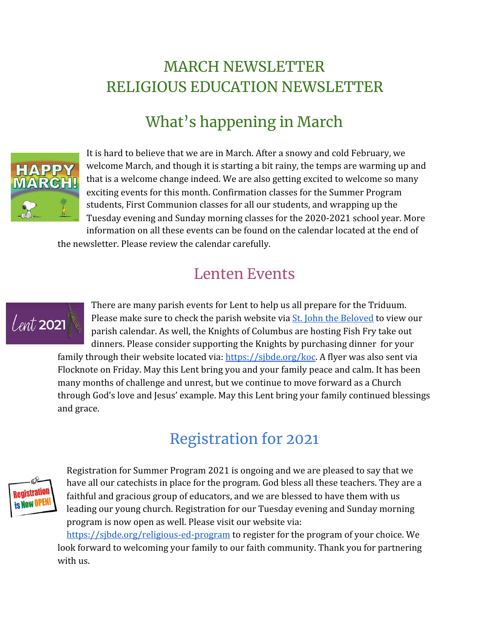### MARCH NEWSLETTER RELIGIOUS EDUCATION NEWSLETTER

# What's happening in March



It is hard to believe that we are in March. After a snowy and cold February, we welcome March, and though it is starting a bit rainy, the temps are warming up and that is a welcome change indeed. We are also getting excited to welcome so many exciting events for this month. Confirmation classes for the Summer Program students, First Communion classes for all our students, and wrapping up the Tuesday evening and Sunday morning classes for the 2020-2021 school year. More information on all these events can be found on the calendar located at the end of

the newsletter. Please review the calendar carefully.

#### Lenten Events



There are many parish events for Lent to help us all prepare for the Triduum. Please make sure to check the parish website via **St.** John the Beloved to view our parish calendar. As well, the Knights of Columbus are hosting Fish Fry take out dinners. Please consider supporting the Knights by purchasing dinner for your family through their website located via: <https://sjbde.org/koc>. A flyer was also sent via Flocknote on Friday. May this Lent bring you and your family peace and calm. It has been many months of challenge and unrest, but we continue to move forward as a Church through God's love and Jesus' example. May this Lent bring your family continued blessings and grace.

## Registration for 2021



Registration for Summer Program 2021 is ongoing and we are pleased to say that we have all our catechists in place for the program. God bless all these teachers. They are a faithful and gracious group of educators, and we are blessed to have them with us leading our young church. Registration for our Tuesday evening and Sunday morning program is now open as well. Please visit our website via:

<https://sjbde.org/religious-ed-program>to register for the program of your choice. We look forward to welcoming your family to our faith community. Thank you for partnering with us.